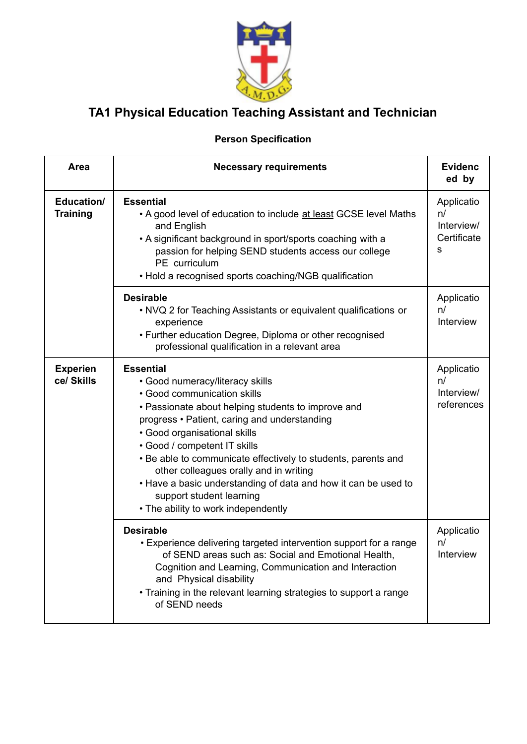

## **TA1 Physical Education Teaching Assistant and Technician**

## **Person Specification**

| Area                          | <b>Necessary requirements</b>                                                                                                                                                                                                                                                                                                                                                                                                                                                                            | <b>Evidenc</b><br>ed by                            |
|-------------------------------|----------------------------------------------------------------------------------------------------------------------------------------------------------------------------------------------------------------------------------------------------------------------------------------------------------------------------------------------------------------------------------------------------------------------------------------------------------------------------------------------------------|----------------------------------------------------|
| Education/<br><b>Training</b> | <b>Essential</b><br>. A good level of education to include at least GCSE level Maths<br>and English<br>• A significant background in sport/sports coaching with a<br>passion for helping SEND students access our college<br>PE curriculum<br>• Hold a recognised sports coaching/NGB qualification                                                                                                                                                                                                      | Applicatio<br>n/<br>Interview/<br>Certificate<br>s |
|                               | <b>Desirable</b><br>• NVQ 2 for Teaching Assistants or equivalent qualifications or<br>experience<br>• Further education Degree, Diploma or other recognised<br>professional qualification in a relevant area                                                                                                                                                                                                                                                                                            | Applicatio<br>n/<br>Interview                      |
| <b>Experien</b><br>ce/ Skills | <b>Essential</b><br>• Good numeracy/literacy skills<br>· Good communication skills<br>• Passionate about helping students to improve and<br>progress • Patient, caring and understanding<br>· Good organisational skills<br>· Good / competent IT skills<br>. Be able to communicate effectively to students, parents and<br>other colleagues orally and in writing<br>. Have a basic understanding of data and how it can be used to<br>support student learning<br>• The ability to work independently | Applicatio<br>n/<br>Interview/<br>references       |
|                               | <b>Desirable</b><br>• Experience delivering targeted intervention support for a range<br>of SEND areas such as: Social and Emotional Health,<br>Cognition and Learning, Communication and Interaction<br>and Physical disability<br>• Training in the relevant learning strategies to support a range<br>of SEND needs                                                                                                                                                                                   | Applicatio<br>n/<br>Interview                      |